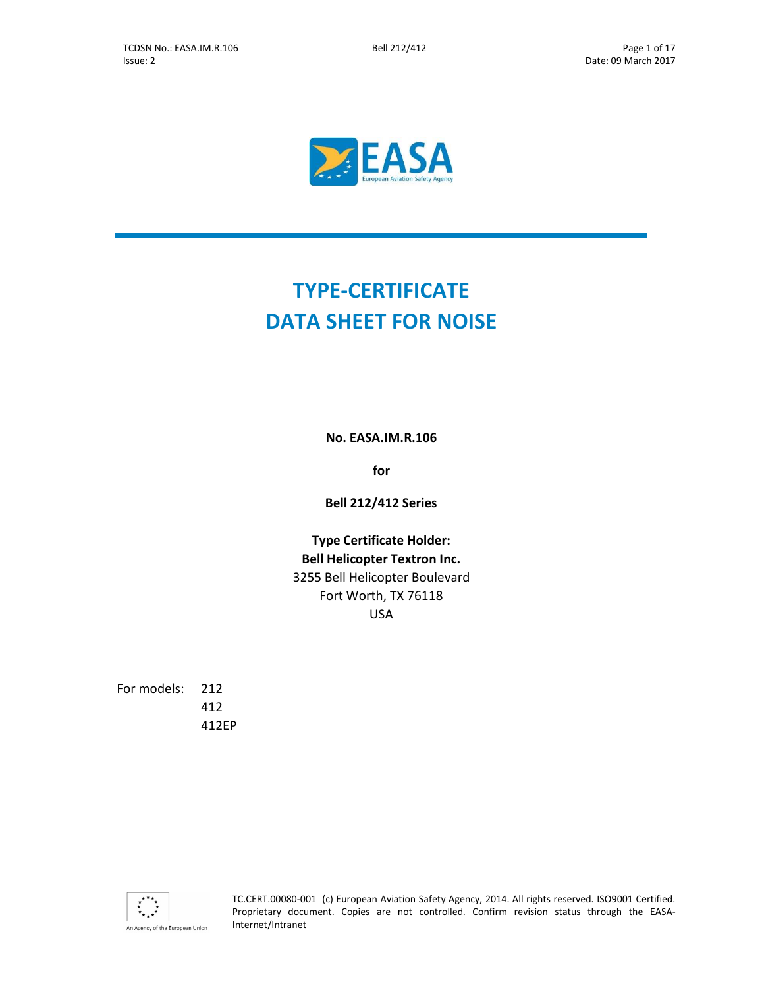

## **TYPE-CERTIFICATE DATA SHEET FOR NOISE**

**No. EASA.IM.R.106** 

**for** 

**Bell 212/412 Series** 

**Type Certificate Holder: Bell Helicopter Textron Inc.**  3255 Bell Helicopter Boulevard Fort Worth, TX 76118 USA

For models: 212 412 412EP

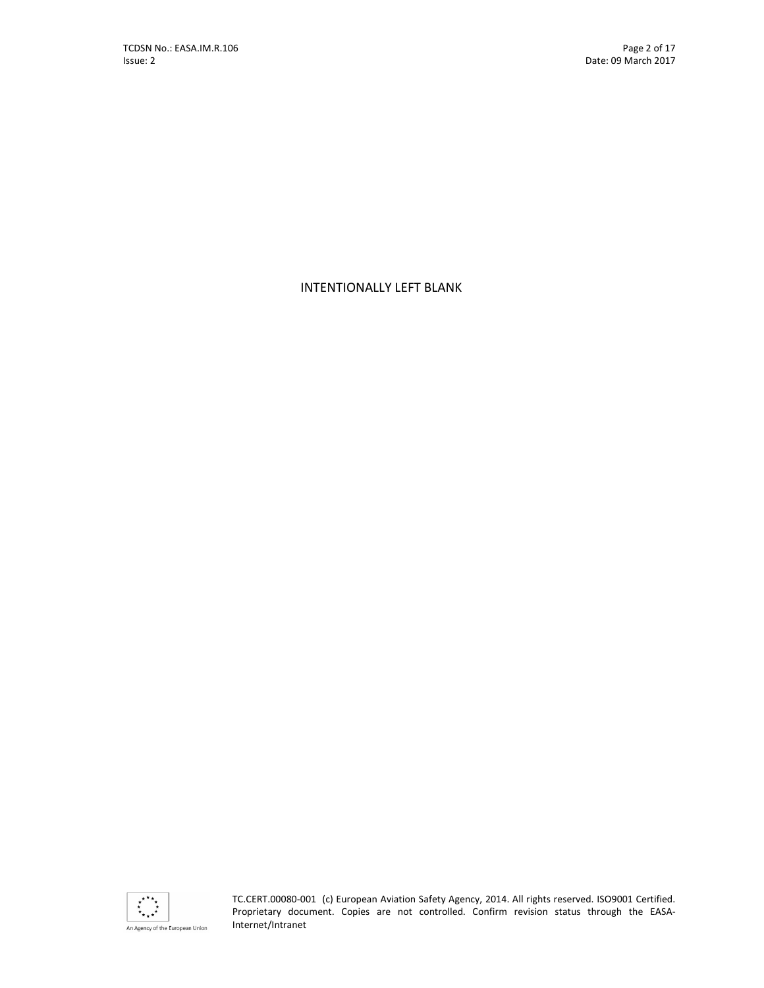## INTENTIONALLY LEFT BLANK

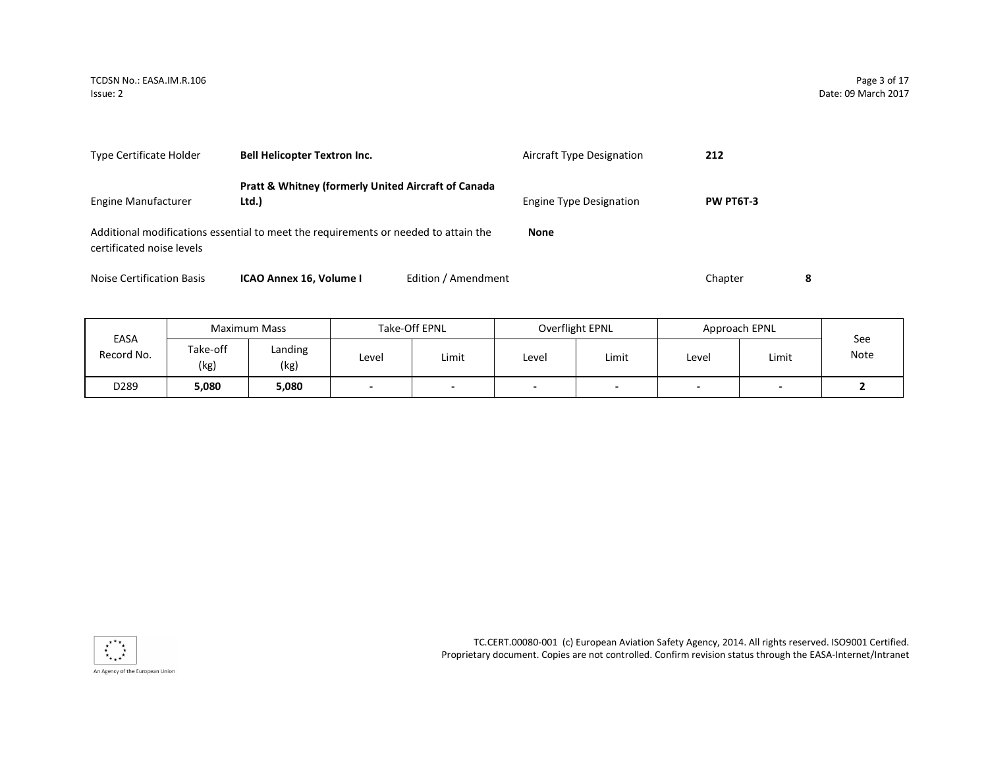TCDSN No.: EASA.IM.R.106 Page 3 of 17 Issue: 2

| Type Certificate Holder   | <b>Bell Helicopter Textron Inc.</b>                                                 |                     | Aircraft Type Designation      | 212       |   |
|---------------------------|-------------------------------------------------------------------------------------|---------------------|--------------------------------|-----------|---|
| Engine Manufacturer       | <b>Pratt &amp; Whitney (formerly United Aircraft of Canada</b><br>Ltd.)             |                     | <b>Engine Type Designation</b> | PW PT6T-3 |   |
| certificated noise levels | Additional modifications essential to meet the requirements or needed to attain the |                     | <b>None</b>                    |           |   |
| Noise Certification Basis | ICAO Annex 16, Volume I                                                             | Edition / Amendment |                                | Chapter   | 8 |

|                    | <b>Maximum Mass</b> |                 | Take-Off EPNL |       | Overflight EPNL          |        | Approach EPNL            |       |             |
|--------------------|---------------------|-----------------|---------------|-------|--------------------------|--------|--------------------------|-------|-------------|
| EASA<br>Record No. | Take-off<br>(kg)    | Landing<br>(kg) | Level         | Limit | Level                    | Limit  | Level                    | Limit | See<br>Note |
| D289               | 5,080               | 5,080           |               | -     | $\overline{\phantom{0}}$ | $\sim$ | $\overline{\phantom{0}}$ | -     |             |

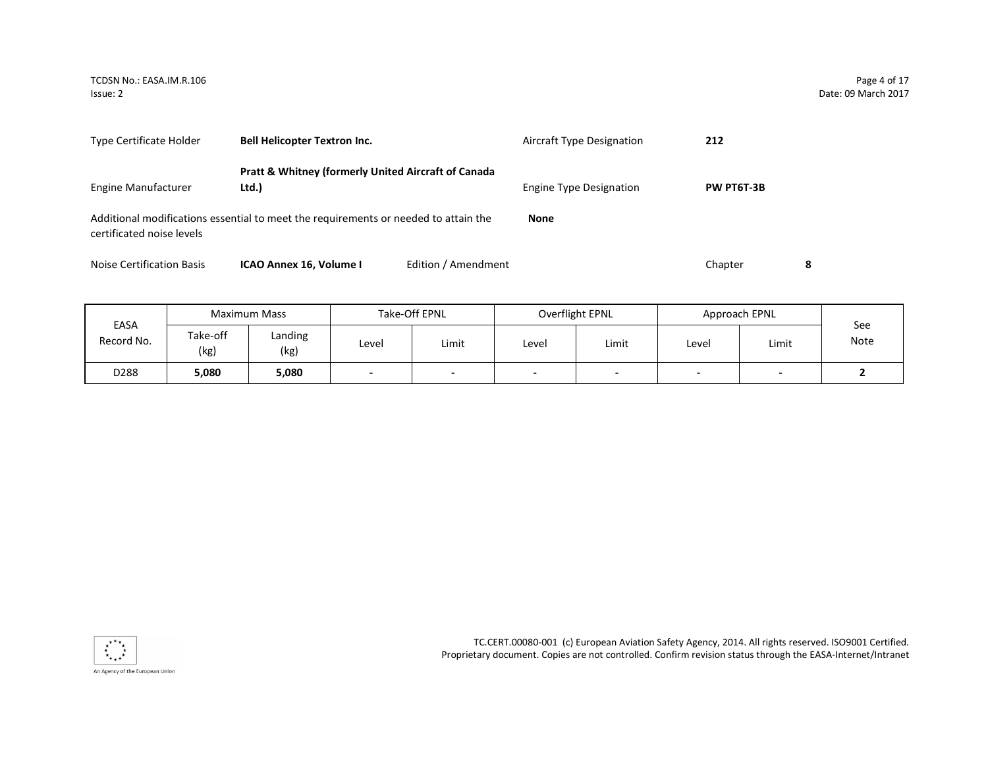| TCDSN No.: EASA.IM.R.106<br>Issue: 2 |                                                                                     |                     |                                |            | Page 4 of 17<br>Date: 09 March 2017 |
|--------------------------------------|-------------------------------------------------------------------------------------|---------------------|--------------------------------|------------|-------------------------------------|
| Type Certificate Holder              | <b>Bell Helicopter Textron Inc.</b>                                                 |                     | Aircraft Type Designation      | 212        |                                     |
| <b>Engine Manufacturer</b>           | <b>Pratt &amp; Whitney (formerly United Aircraft of Canada</b><br>Ltd.)             |                     | <b>Engine Type Designation</b> | PW PT6T-3B |                                     |
| certificated noise levels            | Additional modifications essential to meet the requirements or needed to attain the |                     | <b>None</b>                    |            |                                     |
| Noise Certification Basis            | ICAO Annex 16, Volume I                                                             | Edition / Amendment |                                | Chapter    | 8                                   |

| EASA       | <b>Maximum Mass</b> |                 | Take-Off EPNL |       | Overflight EPNL |       | Approach EPNL |       |             |
|------------|---------------------|-----------------|---------------|-------|-----------------|-------|---------------|-------|-------------|
| Record No. | Take-off<br>(kg)    | Landing<br>(kg) | Level         | Limit | Level           | Limit | Level         | Limit | See<br>Note |
| D288       | 5,080               | 5,080           |               |       |                 | -     |               |       |             |

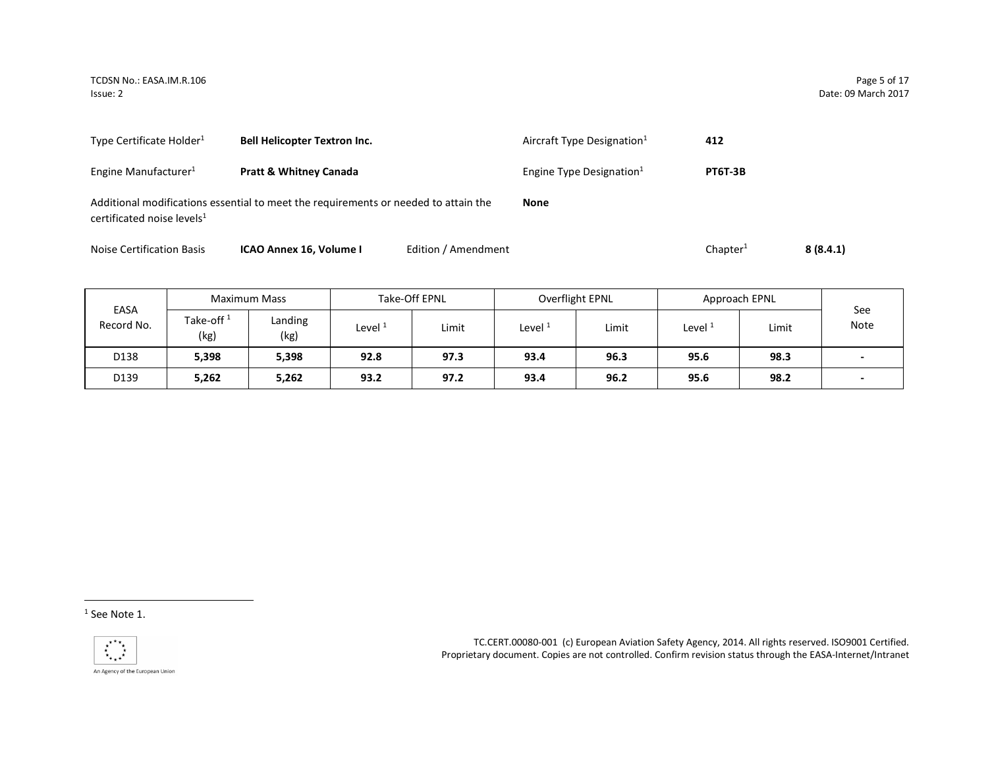TCDSN No.: EASA.IM.R.106 Page 5 of 17 Issue: 2

| Type Certificate Holder <sup>1</sup>   | <b>Bell Helicopter Textron Inc.</b>                                                 |                     | Aircraft Type Designation <sup>1</sup> | 412                  |          |
|----------------------------------------|-------------------------------------------------------------------------------------|---------------------|----------------------------------------|----------------------|----------|
| Engine Manufacturer <sup>1</sup>       | <b>Pratt &amp; Whitney Canada</b>                                                   |                     | Engine Type Designation <sup>1</sup>   | <b>PT6T-3B</b>       |          |
| certificated noise levels <sup>1</sup> | Additional modifications essential to meet the requirements or needed to attain the |                     | <b>None</b>                            |                      |          |
| Noise Certification Basis              | ICAO Annex 16, Volume I                                                             | Edition / Amendment |                                        | Chanter <sup>1</sup> | 8(8.4.1) |

| EASA       | <b>Maximum Mass</b>   |                 | Take-Off EPNL      |       | Overflight EPNL |       | Approach EPNL |       | See  |
|------------|-----------------------|-----------------|--------------------|-------|-----------------|-------|---------------|-------|------|
| Record No. | Take-off $^1$<br>(kg) | Landing<br>(kg) | Level <sup>1</sup> | Limit | Level $1$       | Limit | Level         | Limit | Note |
| D138       | 5,398                 | 5,398           | 92.8               | 97.3  | 93.4            | 96.3  | 95.6          | 98.3  |      |
| D139       | 5,262                 | 5,262           | 93.2               | 97.2  | 93.4            | 96.2  | 95.6          | 98.2  | . .  |

 $1$  See Note 1.

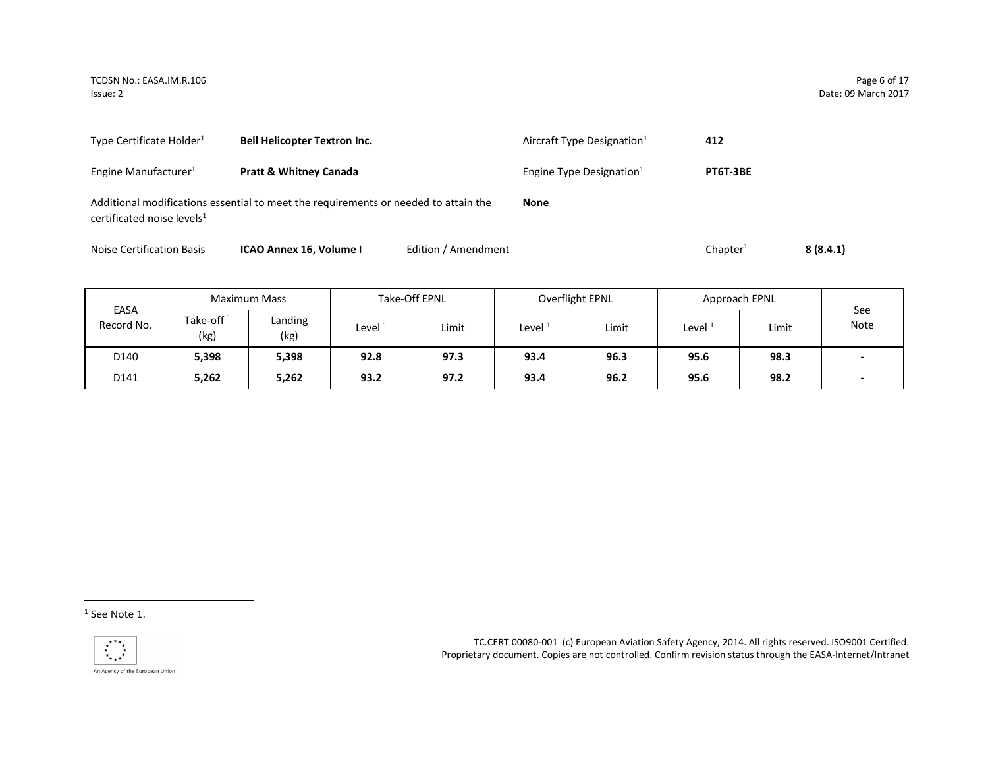TCDSN No.: EASA.IM.R.106 Page 6 of 17 Issue: 2

| Type Certificate Holder <sup>1</sup>   | <b>Bell Helicopter Textron Inc.</b>                                                 |                     | Aircraft Type Designation <sup>1</sup> | 412                  |          |
|----------------------------------------|-------------------------------------------------------------------------------------|---------------------|----------------------------------------|----------------------|----------|
| Engine Manufacturer <sup>1</sup>       | <b>Pratt &amp; Whitney Canada</b>                                                   |                     | Engine Type Designation <sup>1</sup>   | PT6T-3BE             |          |
| certificated noise levels <sup>1</sup> | Additional modifications essential to meet the requirements or needed to attain the |                     | <b>None</b>                            |                      |          |
| Noise Certification Basis              | ICAO Annex 16, Volume I                                                             | Edition / Amendment |                                        | Chapter <sup>1</sup> | 8(8.4.1) |

| EASA       | Maximum Mass                  |                 | Take-Off EPNL                   |       | Overflight EPNL |       | Approach EPNL |       |             |
|------------|-------------------------------|-----------------|---------------------------------|-------|-----------------|-------|---------------|-------|-------------|
| Record No. | Take-off <sup>1</sup><br>(kg) | Landing<br>(kg) | Level $^{\scriptscriptstyle 1}$ | Limit | Level $1$       | Limit | Level         | Limit | See<br>Note |
| D140       | 5,398                         | 5,398           | 92.8                            | 97.3  | 93.4            | 96.3  | 95.6          | 98.3  | -           |
| D141       | 5,262                         | 5,262           | 93.2                            | 97.2  | 93.4            | 96.2  | 95.6          | 98.2  | $\sim$      |

 $1$  See Note 1.

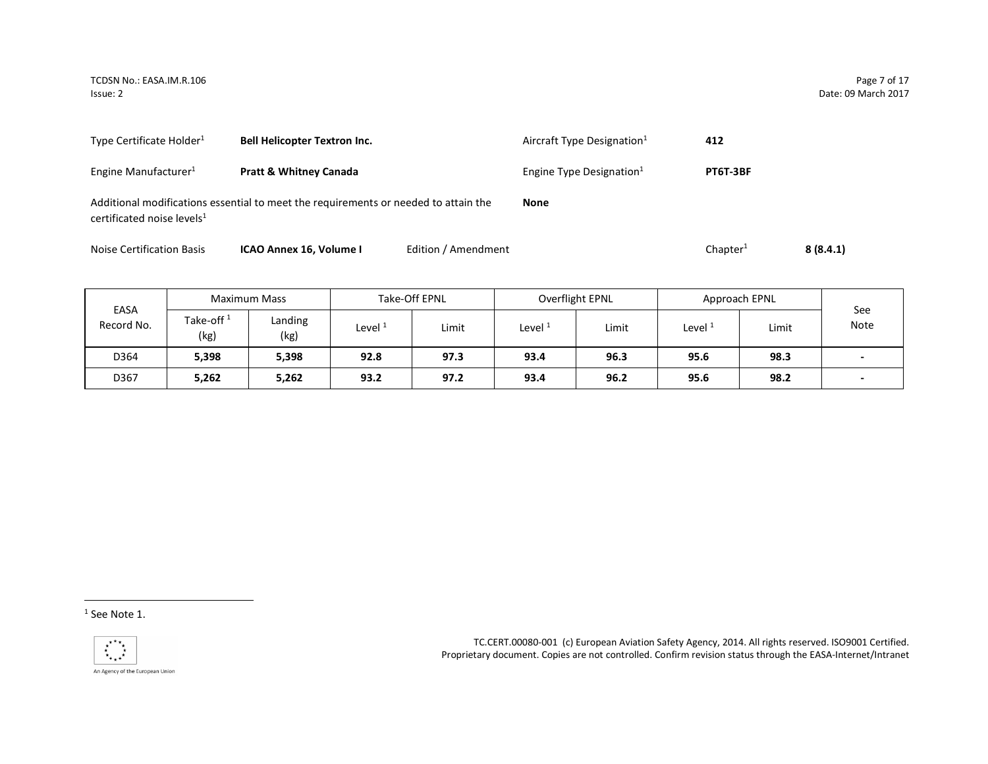TCDSN No.: EASA.IM.R.106 Page 7 of 17 Issue: 2

| Type Certificate Holder <sup>1</sup>   | <b>Bell Helicopter Textron Inc.</b>                                                 |                     | Aircraft Type Designation <sup>1</sup> | 412                  |          |
|----------------------------------------|-------------------------------------------------------------------------------------|---------------------|----------------------------------------|----------------------|----------|
| Engine Manufacturer <sup>1</sup>       | <b>Pratt &amp; Whitney Canada</b>                                                   |                     | Engine Type Designation <sup>1</sup>   | <b>PT6T-3BF</b>      |          |
| certificated noise levels <sup>1</sup> | Additional modifications essential to meet the requirements or needed to attain the |                     | <b>None</b>                            |                      |          |
| Noise Certification Basis              | ICAO Annex 16, Volume I                                                             | Edition / Amendment |                                        | Chapter <sup>1</sup> | 8(8.4.1) |

| EASA       | Maximum Mass                  |                 | Take-Off EPNL                   |       | Overflight EPNL |       | Approach EPNL |       |             |
|------------|-------------------------------|-----------------|---------------------------------|-------|-----------------|-------|---------------|-------|-------------|
| Record No. | Take-off <sup>1</sup><br>(kg) | Landing<br>(kg) | Level $^{\scriptscriptstyle 1}$ | Limit | Level $1$       | Limit | Level         | Limit | See<br>Note |
| D364       | 5,398                         | 5,398           | 92.8                            | 97.3  | 93.4            | 96.3  | 95.6          | 98.3  | -           |
| D367       | 5,262                         | 5,262           | 93.2                            | 97.2  | 93.4            | 96.2  | 95.6          | 98.2  | $\sim$      |

 $1$  See Note 1.

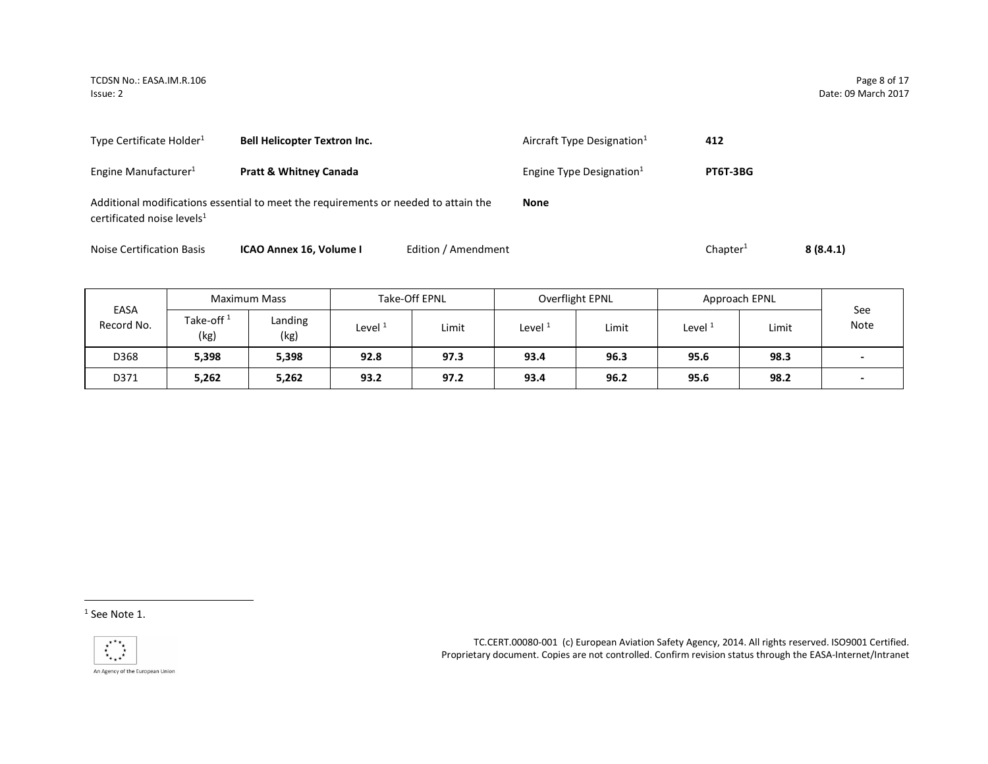TCDSN No.: EASA.IM.R.106 Page 8 of 17 Issue: 2

| Type Certificate Holder <sup>1</sup>   | <b>Bell Helicopter Textron Inc.</b>                                                 |                     | Aircraft Type Designation <sup>1</sup> | 412                  |          |
|----------------------------------------|-------------------------------------------------------------------------------------|---------------------|----------------------------------------|----------------------|----------|
| Engine Manufacturer <sup>1</sup>       | <b>Pratt &amp; Whitney Canada</b>                                                   |                     | Engine Type Designation <sup>1</sup>   | <b>PT6T-3BG</b>      |          |
| certificated noise levels <sup>1</sup> | Additional modifications essential to meet the requirements or needed to attain the |                     | <b>None</b>                            |                      |          |
| Noise Certification Basis              | ICAO Annex 16, Volume I                                                             | Edition / Amendment |                                        | Chapter <sup>1</sup> | 8(8.4.1) |

| EASA       | <b>Maximum Mass</b>  |                 | Take-Off EPNL      |       | Overflight EPNL |       | Approach EPNL |       | See  |
|------------|----------------------|-----------------|--------------------|-------|-----------------|-------|---------------|-------|------|
| Record No. | Take-off $1$<br>(kg) | Landing<br>(kg) | Level <sup>:</sup> | Limit | Level           | Limit | Level         | Limit | Note |
| D368       | 5,398                | 5,398           | 92.8               | 97.3  | 93.4            | 96.3  | 95.6          | 98.3  |      |
| D371       | 5,262                | 5,262           | 93.2               | 97.2  | 93.4            | 96.2  | 95.6          | 98.2  | -    |

 $1$  See Note 1.

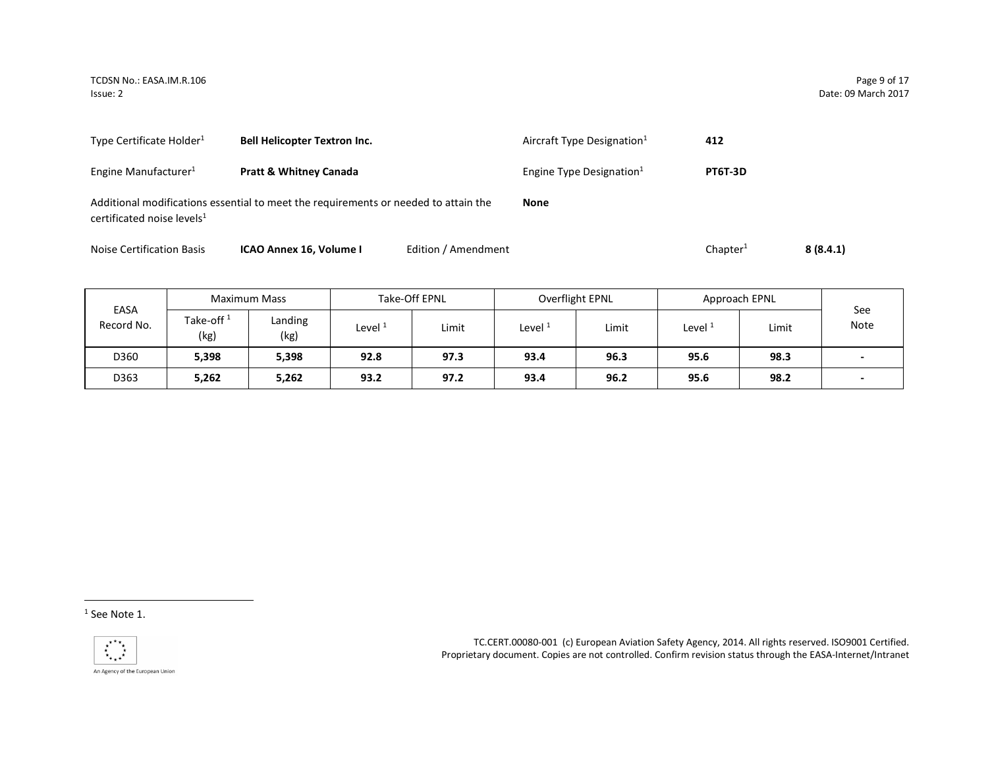TCDSN No.: EASA.IM.R.106 Page 9 of 17 Issue: 2

| Type Certificate Holder <sup>1</sup>   | <b>Bell Helicopter Textron Inc.</b>                                                 |                     | Aircraft Type Designation <sup>1</sup> | 412                  |          |
|----------------------------------------|-------------------------------------------------------------------------------------|---------------------|----------------------------------------|----------------------|----------|
| Engine Manufacturer <sup>1</sup>       | <b>Pratt &amp; Whitney Canada</b>                                                   |                     | Engine Type Designation $1$            | <b>PT6T-3D</b>       |          |
| certificated noise levels <sup>1</sup> | Additional modifications essential to meet the requirements or needed to attain the |                     | <b>None</b>                            |                      |          |
| Noise Certification Basis              | ICAO Annex 16, Volume I                                                             | Edition / Amendment |                                        | Chanter <sup>1</sup> | 8(8.4.1) |

| EASA       | <b>Maximum Mass</b>   |                 | Take-Off EPNL      |       | Overflight EPNL |       | Approach EPNL |       | See  |
|------------|-----------------------|-----------------|--------------------|-------|-----------------|-------|---------------|-------|------|
| Record No. | Take-off $^1$<br>(kg) | Landing<br>(kg) | Level <sup>1</sup> | Limit | Level $1$       | Limit | Level         | Limit | Note |
| D360       | 5,398                 | 5,398           | 92.8               | 97.3  | 93.4            | 96.3  | 95.6          | 98.3  |      |
| D363       | 5,262                 | 5,262           | 93.2               | 97.2  | 93.4            | 96.2  | 95.6          | 98.2  | . .  |

 $1$  See Note 1.

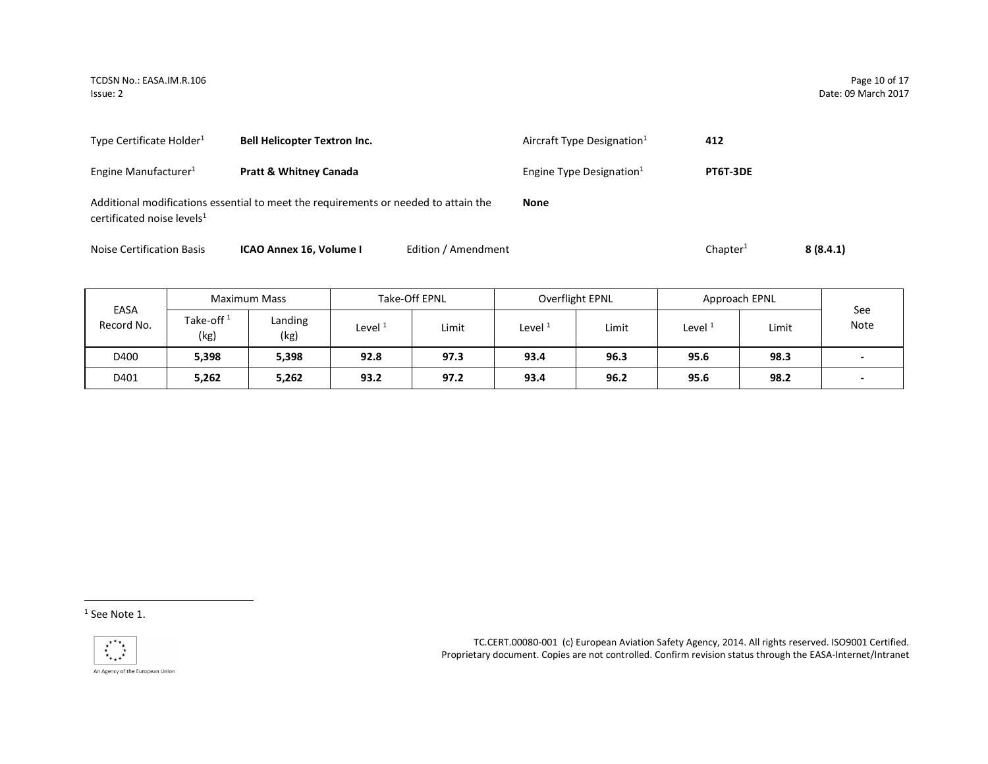TCDSN No.: EASA.IM.R.106 Page 10 of 17 Issue: 2

| Type Certificate Holder <sup>1</sup>   | <b>Bell Helicopter Textron Inc.</b>                                                 |                     | Aircraft Type Designation <sup>1</sup> | 412                  |          |
|----------------------------------------|-------------------------------------------------------------------------------------|---------------------|----------------------------------------|----------------------|----------|
| Engine Manufacturer <sup>1</sup>       | <b>Pratt &amp; Whitney Canada</b>                                                   |                     | Engine Type Designation <sup>1</sup>   | PT6T-3DE             |          |
| certificated noise levels <sup>1</sup> | Additional modifications essential to meet the requirements or needed to attain the |                     | <b>None</b>                            |                      |          |
| Noise Certification Basis              | ICAO Annex 16, Volume I                                                             | Edition / Amendment |                                        | Chapter <sup>1</sup> | 8(8.4.1) |

| EASA<br>Record No. | <b>Maximum Mass</b>  |                 | Take-Off EPNL      |       | Overflight EPNL |       | Approach EPNL |       |             |
|--------------------|----------------------|-----------------|--------------------|-------|-----------------|-------|---------------|-------|-------------|
|                    | Take-off $1$<br>(kg) | Landing<br>(kg) | Level <sup>:</sup> | Limit | Level           | Limit | Level         | Limit | See<br>Note |
| D400               | 5,398                | 5,398           | 92.8               | 97.3  | 93.4            | 96.3  | 95.6          | 98.3  |             |
| D401               | 5,262                | 5,262           | 93.2               | 97.2  | 93.4            | 96.2  | 95.6          | 98.2  | -           |

 $1$  See Note 1.

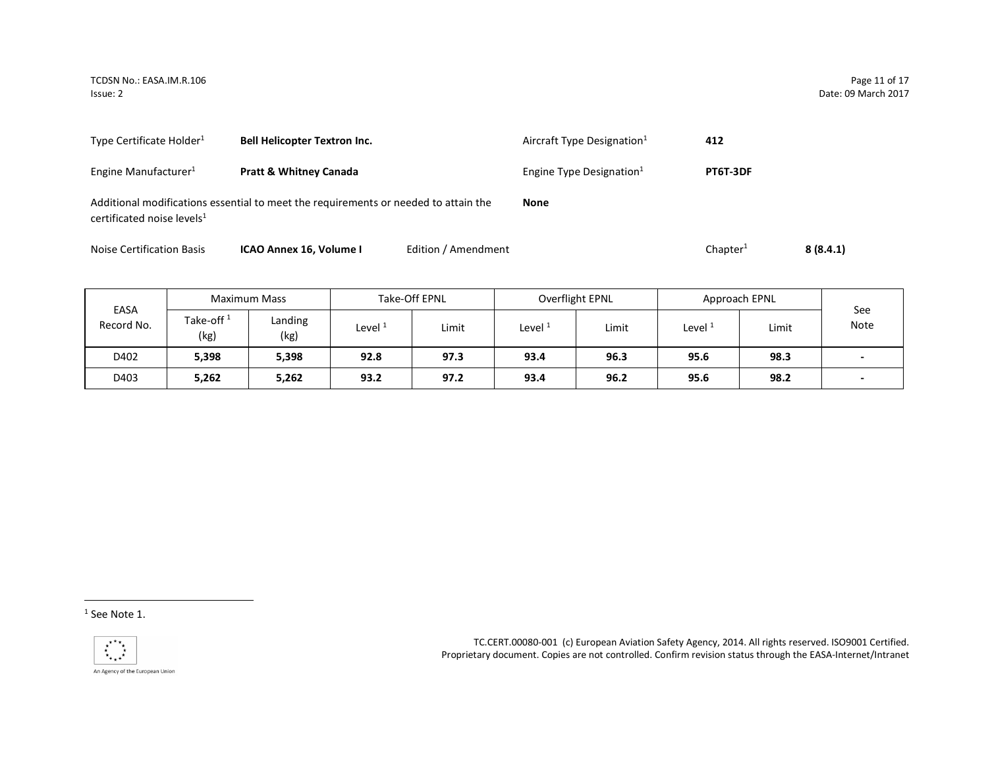TCDSN No.: EASA.IM.R.106 Page 11 of 17 Issue: 2

| Type Certificate Holder <sup>1</sup>   | <b>Bell Helicopter Textron Inc.</b>                                                 |                     | Aircraft Type Designation <sup>1</sup> | 412                  |          |
|----------------------------------------|-------------------------------------------------------------------------------------|---------------------|----------------------------------------|----------------------|----------|
| Engine Manufacturer <sup>1</sup>       | <b>Pratt &amp; Whitney Canada</b>                                                   |                     | Engine Type Designation <sup>1</sup>   | PT6T-3DF             |          |
| certificated noise levels <sup>1</sup> | Additional modifications essential to meet the requirements or needed to attain the |                     | <b>None</b>                            |                      |          |
| Noise Certification Basis              | ICAO Annex 16, Volume I                                                             | Edition / Amendment |                                        | Chapter <sup>1</sup> | 8(8.4.1) |

| EASA<br>Record No. | <b>Maximum Mass</b>  |                 | Take-Off EPNL      |       | Overflight EPNL |       | Approach EPNL |       | See  |
|--------------------|----------------------|-----------------|--------------------|-------|-----------------|-------|---------------|-------|------|
|                    | Take-off $1$<br>(kg) | Landing<br>(kg) | Level <sup>:</sup> | Limit | Level           | Limit | Level         | Limit | Note |
| D402               | 5,398                | 5,398           | 92.8               | 97.3  | 93.4            | 96.3  | 95.6          | 98.3  |      |
| D403               | 5,262                | 5,262           | 93.2               | 97.2  | 93.4            | 96.2  | 95.6          | 98.2  | -    |

 $1$  See Note 1.

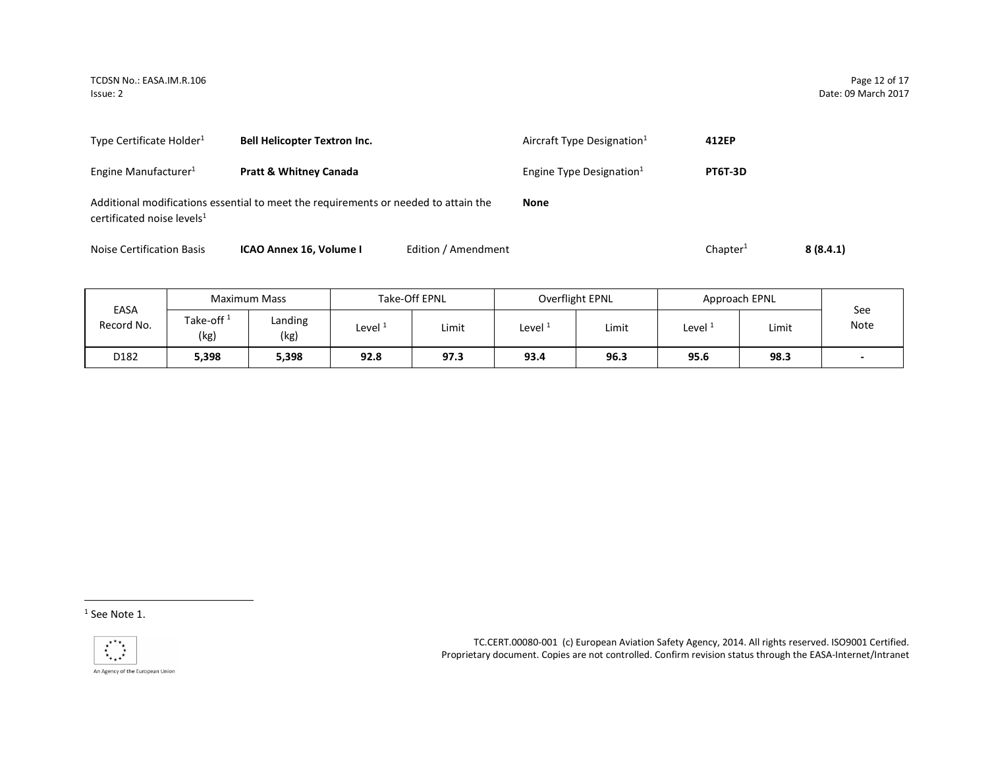| TCDSN No.: EASA.IM.R.106 | Page 12 of 17       |
|--------------------------|---------------------|
| Issue: 2                 | Date: 09 March 2017 |

| Type Certificate Holder <sup>1</sup><br><b>Bell Helicopter Textron Inc.</b>                                                   |                                   |                     | Aircraft Type Designation <sup>1</sup> | 412EP             |          |
|-------------------------------------------------------------------------------------------------------------------------------|-----------------------------------|---------------------|----------------------------------------|-------------------|----------|
| Engine Manufacturer <sup>1</sup>                                                                                              | <b>Pratt &amp; Whitney Canada</b> |                     | Engine Type Designation <sup>1</sup>   | <b>PT6T-3D</b>    |          |
| Additional modifications essential to meet the requirements or needed to attain the<br>certificated noise levels <sup>1</sup> |                                   |                     | None                                   |                   |          |
| Noise Certification Basis                                                                                                     | ICAO Annex 16, Volume I           | Edition / Amendment |                                        | ${\sf Chapter^1}$ | 8(8.4.1) |

| EASA<br>Record No. | <b>Maximum Mass</b>           |                 | Take-Off EPNL |       | Overflight EPNL |       | Approach EPNL |       |             |
|--------------------|-------------------------------|-----------------|---------------|-------|-----------------|-------|---------------|-------|-------------|
|                    | Take-off <sup>1</sup><br>(kg) | Landing<br>(kg) | Level         | Limit | Level           | Limit | Level         | Limit | See<br>Note |
| D182               | 5,398                         | 5,398           | 92.8          | 97.3  | 93.4            | 96.3  | 95.6          | 98.3  |             |

 $1$  See Note 1.

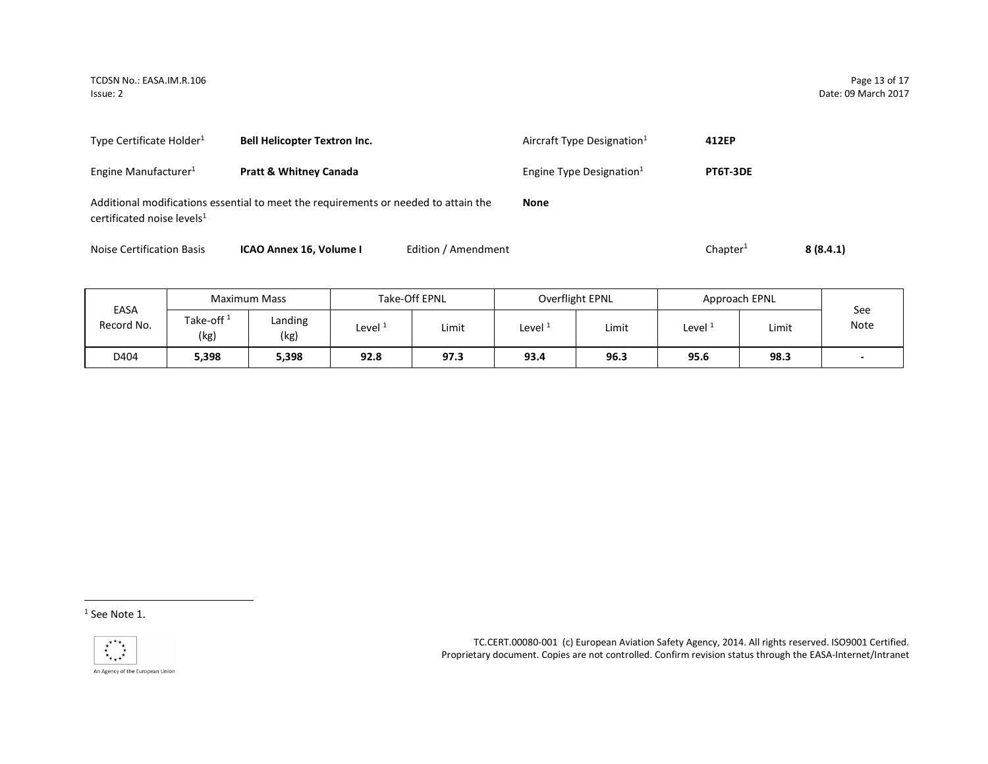TCDSN No.: EASA.IM.R.106 Page 13 of 17 Issue: 2

| Type Certificate Holder <sup>1</sup>   | <b>Bell Helicopter Textron Inc.</b>                                                 |                     | Aircraft Type Designation <sup>1</sup> | 412EP                |          |
|----------------------------------------|-------------------------------------------------------------------------------------|---------------------|----------------------------------------|----------------------|----------|
| Engine Manufacturer <sup>1</sup>       | <b>Pratt &amp; Whitney Canada</b>                                                   |                     | Engine Type Designation $1$            | PT6T-3DE             |          |
| certificated noise levels <sup>1</sup> | Additional modifications essential to meet the requirements or needed to attain the |                     | <b>None</b>                            |                      |          |
| Noise Certification Basis              | ICAO Annex 16, Volume I                                                             | Edition / Amendment |                                        | Chapter <sup>1</sup> | 8(8.4.1) |

| EASA<br>Record No. | <b>Maximum Mass</b>  |                 | Take-Off EPNL |       | Overflight EPNL    |       | Approach EPNL |       |             |
|--------------------|----------------------|-----------------|---------------|-------|--------------------|-------|---------------|-------|-------------|
|                    | Take-off $1$<br>(kg) | Landing<br>(kg) | Level         | Limit | Level <sup>2</sup> | Limit | Level         | Limit | See<br>Note |
| D404               | 5,398                | 5,398           | 92.8          | 97.3  | 93.4               | 96.3  | 95.6          | 98.3  |             |

 $1$  See Note 1.

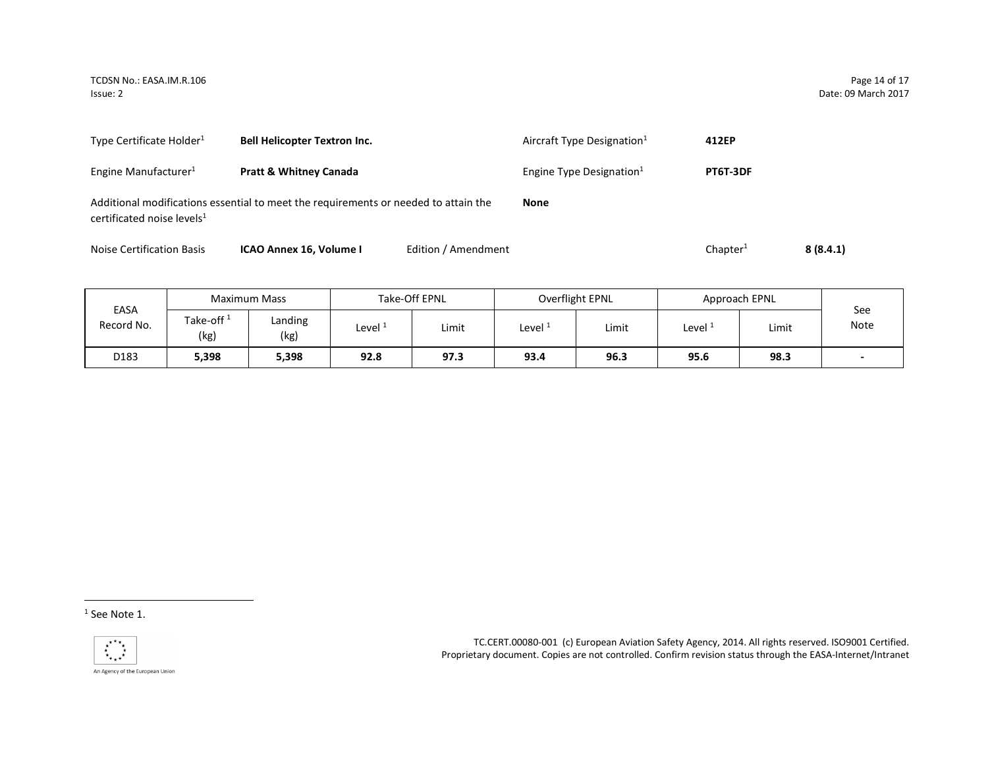TCDSN No.: EASA.IM.R.106 Page 14 of 17 Issue: 2

| Type Certificate Holder <sup>1</sup><br><b>Bell Helicopter Textron Inc.</b> |                                                                                     |                     | Aircraft Type Designation <sup>1</sup> | 412EP                |          |
|-----------------------------------------------------------------------------|-------------------------------------------------------------------------------------|---------------------|----------------------------------------|----------------------|----------|
| Engine Manufacturer <sup>1</sup>                                            | <b>Pratt &amp; Whitney Canada</b>                                                   |                     | Engine Type Designation <sup>1</sup>   | PT6T-3DF             |          |
| certificated noise levels <sup>1</sup>                                      | Additional modifications essential to meet the requirements or needed to attain the |                     | <b>None</b>                            |                      |          |
| Noise Certification Basis                                                   | ICAO Annex 16, Volume I                                                             | Edition / Amendment |                                        | Chapter <sup>1</sup> | 8(8.4.1) |

| EASA       | <b>Maximum Mass</b>           |                 | Take-Off EPNL |       | Overflight EPNL |       | Approach EPNL |       |             |
|------------|-------------------------------|-----------------|---------------|-------|-----------------|-------|---------------|-------|-------------|
| Record No. | Take-off <sup>1</sup><br>(kg) | Landing<br>(kg) | Level         | Limit | Level           | Limit | Level         | Limit | See<br>Note |
| D183       | 5,398                         | 5,398           | 92.8          | 97.3  | 93.4            | 96.3  | 95.6          | 98.3  |             |

 $1$  See Note 1.

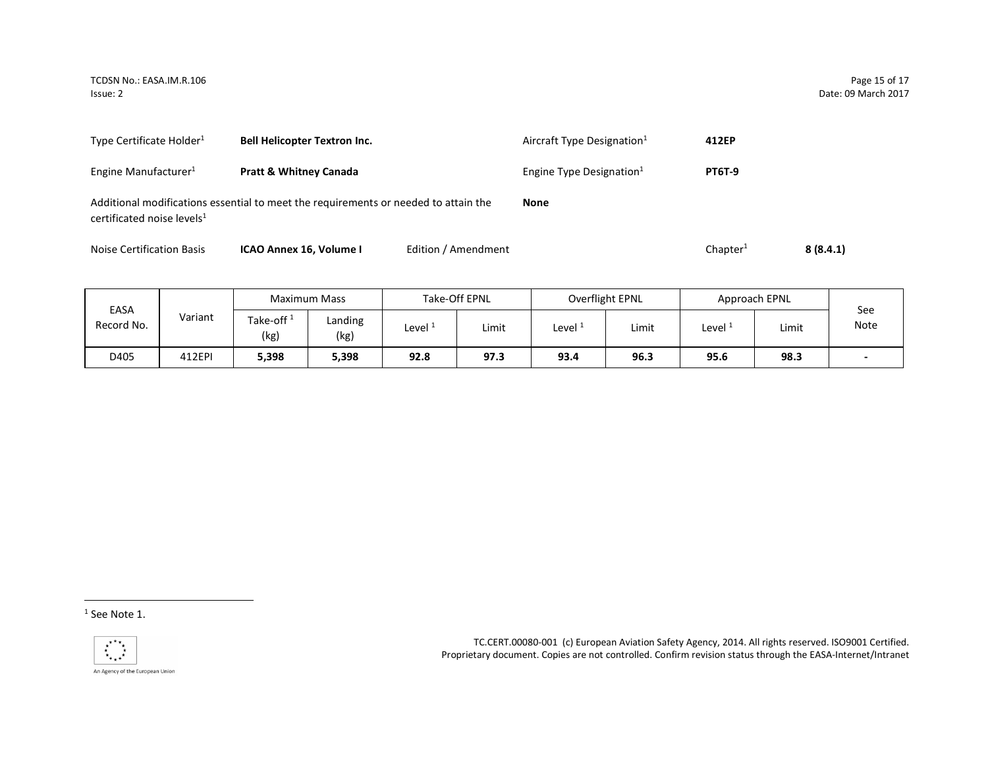| TCDSN No.: EASA.IM.R.106 | Page 15 of 17       |
|--------------------------|---------------------|
| Issue: 2                 | Date: 09 March 2017 |

| Type Certificate Holder <sup>1</sup>   | <b>Bell Helicopter Textron Inc.</b>                                                 |                     | Aircraft Type Designation <sup>1</sup> | 412EP                |          |
|----------------------------------------|-------------------------------------------------------------------------------------|---------------------|----------------------------------------|----------------------|----------|
| Engine Manufacturer <sup>1</sup>       | <b>Pratt &amp; Whitney Canada</b>                                                   |                     | Engine Type Designation $1$            | <b>PT6T-9</b>        |          |
| certificated noise levels <sup>1</sup> | Additional modifications essential to meet the requirements or needed to attain the |                     | None                                   |                      |          |
| Noise Certification Basis              | ICAO Annex 16, Volume I                                                             | Edition / Amendment |                                        | Chapter <sup>1</sup> | 8(8.4.1) |

| EASA<br>Record No. |         | <b>Maximum Mass</b>  |                 | Take-Off EPNL      |       | Overflight EPNL |       | Approach EPNL      |       |                          |
|--------------------|---------|----------------------|-----------------|--------------------|-------|-----------------|-------|--------------------|-------|--------------------------|
|                    | Variant | Take-off $1$<br>(kg) | Landing<br>(kg) | Level <sup>?</sup> | Limit | Level           | Limit | Level <sup>1</sup> | Limit | See<br>Note              |
| D405               | 412EPI  | 5,398                | 5,398           | 92.8               | 97.3  | 93.4            | 96.3  | 95.6               | 98.3  | $\overline{\phantom{0}}$ |

 $1$  See Note 1.

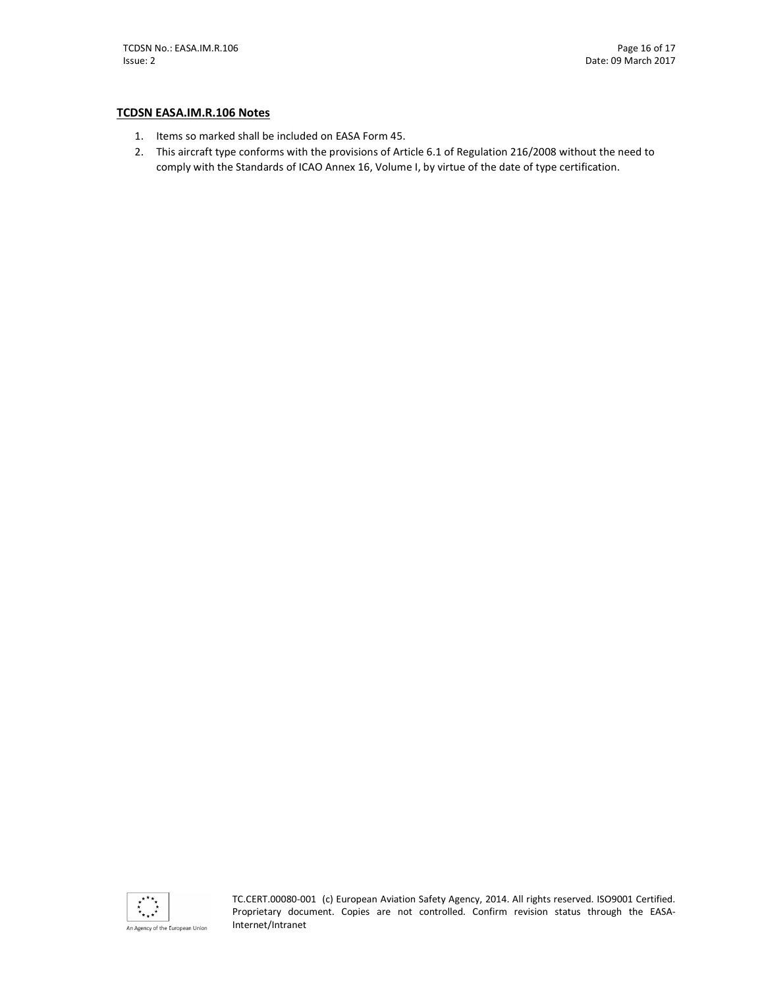## **TCDSN EASA.IM.R.106 Notes**

- 1. Items so marked shall be included on EASA Form 45.
- 2. This aircraft type conforms with the provisions of Article 6.1 of Regulation 216/2008 without the need to comply with the Standards of ICAO Annex 16, Volume I, by virtue of the date of type certification.